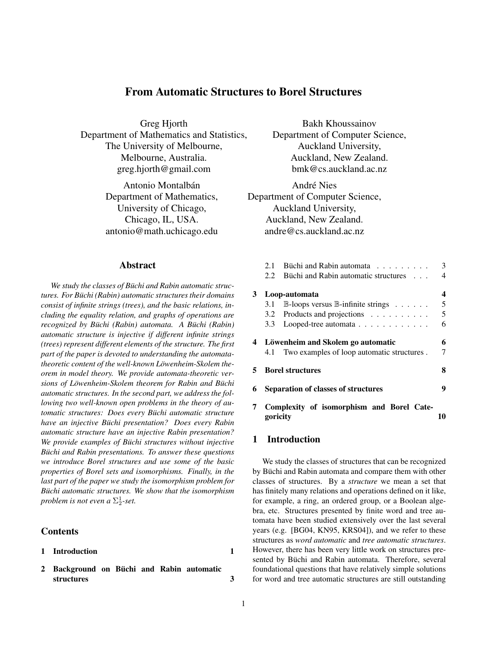# From Automatic Structures to Borel Structures

Greg Hjorth Department of Mathematics and Statistics, The University of Melbourne, Melbourne, Australia. greg.hjorth@gmail.com

> Antonio Montalbán Department of Mathematics, University of Chicago, Chicago, IL, USA. antonio@math.uchicago.edu

## Abstract

*We study the classes of Buchi and Rabin automatic struc- ¨ tures. For Buchi (Rabin) automatic structures their domains ¨ consist of infinite strings (trees), and the basic relations, including the equality relation, and graphs of operations are recognized by Büchi (Rabin) automata. A Büchi (Rabin) automatic structure is injective if different infinite strings (trees) represent different elements of the structure. The first part of the paper is devoted to understanding the automatatheoretic content of the well-known Löwenheim-Skolem theorem in model theory. We provide automata-theoretic versions of Löwenheim-Skolem theorem for Rabin and Büchi automatic structures. In the second part, we address the following two well-known open problems in the theory of automatic structures: Does every Büchi automatic structure have an injective Büchi presentation? Does every Rabin automatic structure have an injective Rabin presentation? We provide examples of Büchi structures without injective Büchi and Rabin presentations. To answer these questions we introduce Borel structures and use some of the basic properties of Borel sets and isomorphisms. Finally, in the last part of the paper we study the isomorphism problem for Buchi automatic structures. We show that the isomorphism ¨ problem is not even a*  $\Sigma^1_2$ -set.

## Contents

- 1 Introduction 1
- 2 Background on Büchi and Rabin automatic structures 3

Bakh Khoussainov Department of Computer Science, Auckland University, Auckland, New Zealand. bmk@cs.auckland.ac.nz

André Nies Department of Computer Science, Auckland University, Auckland, New Zealand. andre@cs.auckland.ac.nz

|    | 2.1                                        | Büchi and Rabin automata                                  | 3  |
|----|--------------------------------------------|-----------------------------------------------------------|----|
|    | 2.2.                                       | Büchi and Rabin automatic structures                      | 4  |
| 3  |                                            | Loop-automata                                             | 4  |
|    | 3.1                                        | $\mathbb{B}$ -loops versus $\mathbb{B}$ -infinite strings | 5  |
|    |                                            | 3.2 Products and projections                              | 5  |
|    | 3.3                                        | Looped-tree automata                                      | 6  |
| 4  |                                            | Löwenheim and Skolem go automatic                         | 6  |
|    | 4.1                                        | Two examples of loop automatic structures.                | 7  |
| 5. |                                            | <b>Borel structures</b>                                   | 8  |
| 6  | <b>Separation of classes of structures</b> |                                                           | 9  |
|    | goricity                                   | Complexity of isomorphism and Borel Cate-                 | 10 |
|    |                                            |                                                           |    |

## 1 Introduction

We study the classes of structures that can be recognized by Büchi and Rabin automata and compare them with other classes of structures. By a *structure* we mean a set that has finitely many relations and operations defined on it like, for example, a ring, an ordered group, or a Boolean algebra, etc. Structures presented by finite word and tree automata have been studied extensively over the last several years (e.g. [BG04, KN95, KRS04]), and we refer to these structures as *word automatic* and *tree automatic structures*. However, there has been very little work on structures presented by Büchi and Rabin automata. Therefore, several foundational questions that have relatively simple solutions for word and tree automatic structures are still outstanding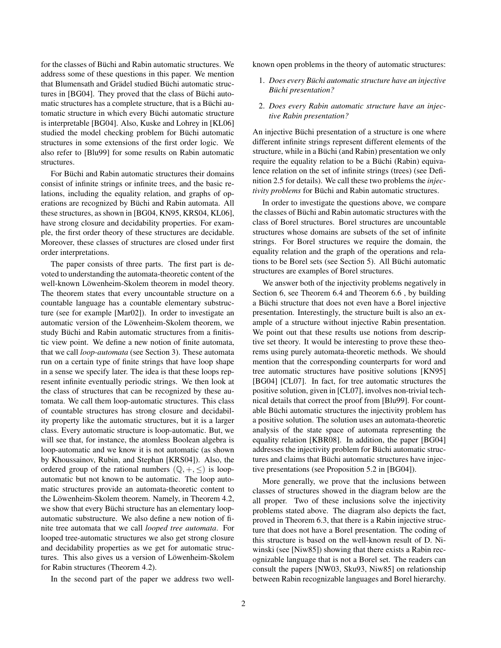for the classes of Büchi and Rabin automatic structures. We address some of these questions in this paper. We mention that Blumensath and Grädel studied Büchi automatic structures in [BG04]. They proved that the class of Büchi automatic structures has a complete structure, that is a Büchi automatic structure in which every Büchi automatic structure is interpretable [BG04]. Also, Kuske and Lohrey in [KL06] studied the model checking problem for Büchi automatic structures in some extensions of the first order logic. We also refer to [Blu99] for some results on Rabin automatic structures.

For Büchi and Rabin automatic structures their domains consist of infinite strings or infinite trees, and the basic relations, including the equality relation, and graphs of operations are recognized by Büchi and Rabin automata. All these structures, as shown in [BG04, KN95, KRS04, KL06], have strong closure and decidability properties. For example, the first order theory of these structures are decidable. Moreover, these classes of structures are closed under first order interpretations.

The paper consists of three parts. The first part is devoted to understanding the automata-theoretic content of the well-known Löwenheim-Skolem theorem in model theory. The theorem states that every uncountable structure on a countable language has a countable elementary substructure (see for example [Mar02]). In order to investigate an automatic version of the Löwenheim-Skolem theorem, we study Büchi and Rabin automatic structures from a finitistic view point. We define a new notion of finite automata, that we call *loop-automata* (see Section 3). These automata run on a certain type of finite strings that have loop shape in a sense we specify later. The idea is that these loops represent infinite eventually periodic strings. We then look at the class of structures that can be recognized by these automata. We call them loop-automatic structures. This class of countable structures has strong closure and decidability property like the automatic structures, but it is a larger class. Every automatic structure is loop-automatic. But, we will see that, for instance, the atomless Boolean algebra is loop-automatic and we know it is not automatic (as shown by Khoussainov, Rubin, and Stephan [KRS04]). Also, the ordered group of the rational numbers  $(\mathbb{Q}, +, \leq)$  is loopautomatic but not known to be automatic. The loop automatic structures provide an automata-theoretic content to the Löwenheim-Skolem theorem. Namely, in Theorem 4.2, we show that every Büchi structure has an elementary loopautomatic substructure. We also define a new notion of finite tree automata that we call *looped tree automata*. For looped tree-automatic structures we also get strong closure and decidability properties as we get for automatic structures. This also gives us a version of Löwenheim-Skolem for Rabin structures (Theorem 4.2).

In the second part of the paper we address two well-

known open problems in the theory of automatic structures:

1. Does every Büchi automatic structure have an injective *Buchi presentation? ¨*

#### 2. *Does every Rabin automatic structure have an injective Rabin presentation?*

An injective Büchi presentation of a structure is one where different infinite strings represent different elements of the structure, while in a Büchi (and Rabin) presentation we only require the equality relation to be a Büchi (Rabin) equivalence relation on the set of infinite strings (trees) (see Definition 2.5 for details). We call these two problems the *injectivity problems* for Büchi and Rabin automatic structures.

In order to investigate the questions above, we compare the classes of Büchi and Rabin automatic structures with the class of Borel structures. Borel structures are uncountable structures whose domains are subsets of the set of infinite strings. For Borel structures we require the domain, the equality relation and the graph of the operations and relations to be Borel sets (see Section 5). All Büchi automatic structures are examples of Borel structures.

We answer both of the injectivity problems negatively in Section 6, see Theorem 6.4 and Theorem 6.6 , by building a Büchi structure that does not even have a Borel injective presentation. Interestingly, the structure built is also an example of a structure without injective Rabin presentation. We point out that these results use notions from descriptive set theory. It would be interesting to prove these theorems using purely automata-theoretic methods. We should mention that the corresponding counterparts for word and tree automatic structures have positive solutions [KN95] [BG04] [CL07]. In fact, for tree automatic structures the positive solution, given in [CL07], involves non-trivial technical details that correct the proof from [Blu99]. For countable Büchi automatic structures the injectivity problem has a positive solution. The solution uses an automata-theoretic analysis of the state space of automata representing the equality relation [KBR08]. In addition, the paper [BG04] addresses the injectivity problem for Büchi automatic structures and claims that Büchi automatic structures have injective presentations (see Proposition 5.2 in [BG04]).

More generally, we prove that the inclusions between classes of structures showed in the diagram below are the all proper. Two of these inclusions solve the injectivity problems stated above. The diagram also depicts the fact, proved in Theorem 6.3, that there is a Rabin injective structure that does not have a Borel presentation. The coding of this structure is based on the well-known result of D. Niwinski (see [Niw85]) showing that there exists a Rabin recognizable language that is not a Borel set. The readers can consult the papers [NW03, Sku93, Niw85] on relationship between Rabin recognizable languages and Borel hierarchy.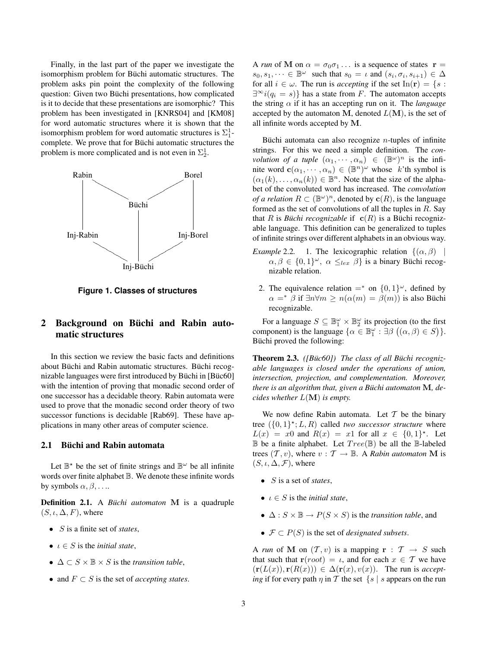Finally, in the last part of the paper we investigate the isomorphism problem for Büchi automatic structures. The problem asks pin point the complexity of the following question: Given two Büchi presentations, how complicated is it to decide that these presentations are isomorphic? This problem has been investigated in [KNRS04] and [KM08] for word automatic structures where it is shown that the isomorphism problem for word automatic structures is  $\Sigma_1^1$ complete. We prove that for Büchi automatic structures the problem is more complicated and is not even in  $\Sigma_2^1$ .



**Figure 1. Classes of structures**

# 2 Background on Büchi and Rabin automatic structures

In this section we review the basic facts and definitions about Büchi and Rabin automatic structures. Büchi recognizable languages were first introduced by Büchi in [Büc60] with the intention of proving that monadic second order of one successor has a decidable theory. Rabin automata were used to prove that the monadic second order theory of two successor functions is decidable [Rab69]. These have applications in many other areas of computer science.

# 2.1 Büchi and Rabin automata

Let  $\mathbb{B}^*$  be the set of finite strings and  $\mathbb{B}^{\omega}$  be all infinite words over finite alphabet  $\mathbb B$ . We denote these infinite words by symbols  $\alpha, \beta, \ldots$ .

**Definition 2.1.** A *Büchi automaton* **M** is a quadruple  $(S, \iota, \Delta, F)$ , where

- S is a finite set of *states*,
- $\iota \in S$  is the *initial state*,
- $\Delta \subset S \times \mathbb{B} \times S$  is the *transition table*,
- and F ⊂ S is the set of *accepting states*.

A *run* of M on  $\alpha = \sigma_0 \sigma_1 \dots$  is a sequence of states  $\mathbf{r} =$  $s_0, s_1, \dots \in \mathbb{B}^{\omega}$  such that  $s_0 = \iota$  and  $(s_i, \sigma_i, s_{i+1}) \in \Delta$ for all  $i \in \omega$ . The run is *accepting* if the set  $In(\mathbf{r}) = \{s :$  $\exists^{\infty} i(q_i = s)$  has a state from F. The automaton accepts the string  $\alpha$  if it has an accepting run on it. The *language* accepted by the automaton M, denoted  $L(M)$ , is the set of all infinite words accepted by M.

Büchi automata can also recognize  $n$ -tuples of infinite strings. For this we need a simple definition. The *convolution of a tuple*  $(\alpha_1, \dots, \alpha_n) \in (\mathbb{B}^{\omega})^n$  is the infinite word  $\mathbf{c}(\alpha_1, \dots, \alpha_n) \in (\mathbb{B}^n)^{\omega}$  whose k'th symbol is  $(\alpha_1(k), \ldots, \alpha_n(k)) \in \mathbb{B}^n$ . Note that the size of the alphabet of the convoluted word has increased. The *convolution of a relation*  $R \subset (\mathbb{B}^{\omega})^n$ , denoted by  $\mathbf{c}(R)$ , is the language formed as the set of convolutions of all the tuples in  $R$ . Say that R is *Büchi recognizable* if  $c(R)$  is a Büchi recognizable language. This definition can be generalized to tuples of infinite strings over different alphabets in an obvious way.

- *Example* 2.2. 1. The lexicographic relation  $\{(\alpha, \beta)\}$  $\alpha, \beta \in \{0, 1\}^{\omega}$ ,  $\alpha \leq_{lex} \beta$  is a binary Büchi recognizable relation.
- 2. The equivalence relation  $=$ <sup>\*</sup> on  $\{0,1\}^\omega$ , defined by  $\alpha =^* \beta$  if  $\exists n \forall m \geq n(\alpha(m) = \beta(m))$  is also Büchi recognizable.

For a language  $S \subseteq \mathbb{B}_1^{\omega} \times \mathbb{B}_2^{\omega}$  its projection (to the first component) is the language  $\{\alpha \in \mathbb{B}_1^{\omega} : \exists \beta \ ((\alpha, \beta) \in S)\}.$ Büchi proved the following:

**Theorem 2.3.** *([Büc60])* The class of all Buchi recogniz*able languages is closed under the operations of union, intersection, projection, and complementation. Moreover, there is an algorithm that, given a Büchi automaton* **M**, de*cides whether* L(M) *is empty.*

We now define Rabin automata. Let  $T$  be the binary tree  $({0, 1}^{\star}; L, R)$  called *two successor structure* where  $L(x) = x0$  and  $R(x) = x1$  for all  $x \in \{0,1\}^{\star}$ . Let  $\mathbb B$  be a finite alphabet. Let  $Tree(\mathbb B)$  be all the  $\mathbb B$ -labeled trees  $(T, v)$ , where  $v : T \rightarrow \mathbb{B}$ . A *Rabin automaton* **M** is  $(S, \iota, \Delta, \mathcal{F})$ , where

- S is a set of *states*,
- $\iota \in S$  is the *initial state*,
- $\Delta$ :  $S \times \mathbb{B} \rightarrow P(S \times S)$  is the *transition table*, and
- $\mathcal{F} \subset P(S)$  is the set of *designated subsets*.

A *run* of M on  $(T, v)$  is a mapping  $r : T \rightarrow S$  such that such that  $\mathbf{r}(root) = \iota$ , and for each  $x \in \mathcal{T}$  we have  $(r(L(x)), r(R(x))) \in \Delta(r(x), v(x))$ . The run is *accepting* if for every path  $\eta$  in T the set  $\{s \mid s \text{ appears on the run}\}$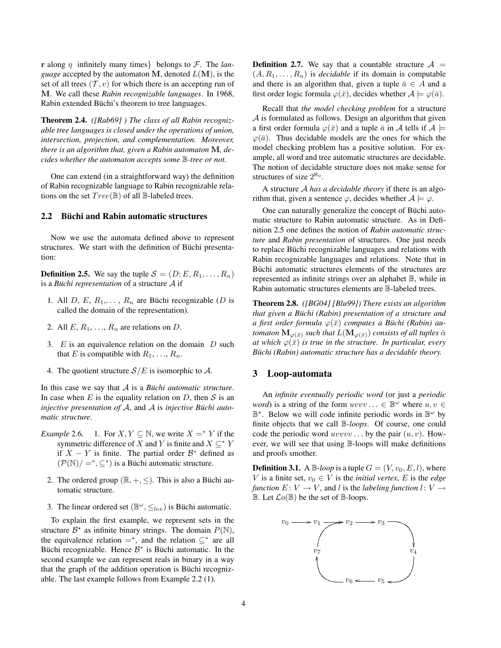r along η infinitely many times} belongs to F. The *language* accepted by the automaton M, denoted  $L(M)$ , is the set of all trees  $(T, v)$  for which there is an accepting run of M. We call these *Rabin recognizable languages*. In 1968, Rabin extended Büchi's theorem to tree languages.

Theorem 2.4. *([Rab69] ) The class of all Rabin recognizable tree languages is closed under the operations of union, intersection, projection, and complementation. Moreover, there is an algorithm that, given a Rabin automaton* M*, decides whether the automaton accepts some* B*-tree or not.*

One can extend (in a straightforward way) the definition of Rabin recognizable language to Rabin recognizable relations on the set  $Tree(\mathbb{B})$  of all  $\mathbb{B}\text{-labeled trees}.$ 

## 2.2 Büchi and Rabin automatic structures

Now we use the automata defined above to represent structures. We start with the definition of Büchi presentation:

**Definition 2.5.** We say the tuple  $S = (D; E, R_1, \ldots, R_n)$ is a *Büchi representation* of a structure  $A$  if

- 1. All D, E,  $R_1, \ldots, R_n$  are Büchi recognizable (D is called the domain of the representation).
- 2. All  $E, R_1, \ldots, R_n$  are relations on D.
- 3.  $E$  is an equivalence relation on the domain  $D$  such that E is compatible with  $R_1, \ldots, R_n$ .
- 4. The quotient structure  $S/E$  is isomorphic to A.

In this case we say that  $A$  is a *Büchi automatic structure*. In case when  $E$  is the equality relation on  $D$ , then  $S$  is an *injective presentation of*  $A$ , and  $A$  is *injective Buchi automatic structure*.

- *Example* 2.6. 1. For  $X, Y \subseteq \mathbb{N}$ , we write  $X =^* Y$  if the symmetric difference of X and Y is finite and  $X \subseteq^* Y$ if  $X - Y$  is finite. The partial order  $\mathcal{B}^*$  defined as  $(\mathcal{P}(\mathbb{N})/\equiv^*,\subseteq^*)$  is a Büchi automatic structure.
	- 2. The ordered group  $(\mathbb{R}, +, \le)$ . This is also a Büchi automatic structure.
	- 3. The linear ordered set  $(\mathbb{B}^{\omega}, \leq_{lex})$  is Büchi automatic.

To explain the first example, we represent sets in the structure  $\mathcal{B}^*$  as infinite binary strings. The domain  $P(\mathbb{N})$ , the equivalence relation  $=$ <sup>\*</sup>, and the relation  $\subseteq$ <sup>\*</sup> are all Büchi recognizable. Hence  $B^*$  is Büchi automatic. In the second example we can represent reals in binary in a way that the graph of the addition operation is Büchi recognizable. The last example follows from Example 2.2 (1).

**Definition 2.7.** We say that a countable structure  $A =$  $(A, R_1, \ldots, R_n)$  is *decidable* if its domain is computable and there is an algorithm that, given a tuple  $\bar{a} \in A$  and a first order logic formula  $\varphi(\bar{x})$ , decides whether  $A \models \varphi(\bar{a})$ .

Recall that *the model checking problem* for a structure A is formulated as follows. Design an algorithm that given a first order formula  $\varphi(\bar{x})$  and a tuple  $\bar{a}$  in A tells if  $\mathcal{A} \models$  $\varphi(\bar{a})$ . Thus decidable models are the ones for which the model checking problem has a positive solution. For example, all word and tree automatic structures are decidable. The notion of decidable structure does not make sense for structures of size  $2^{\aleph_0}$ .

A structure A *has a decidable theory* if there is an algorithm that, given a sentence  $\varphi$ , decides whether  $A \models \varphi$ .

One can naturally generalize the concept of Büchi automatic structure to Rabin automatic structure. As in Definition 2.5 one defines the notion of *Rabin automatic structure* and *Rabin presentation* of structures. One just needs to replace Büchi recognizable languages and relations with Rabin recognizable languages and relations. Note that in Büchi automatic structures elements of the structures are represented as infinite strings over an alphabet B, while in Rabin automatic structures elements are B-labeled trees.

Theorem 2.8. *([BG04] [Blu99]) There exists an algorithm that given a Büchi (Rabin) presentation of a structure and a first order formula*  $\varphi(\bar{x})$  *computes a Büchi (Rabin) automaton*  $\mathbf{M}_{\varphi(\bar{x})}$  *such that*  $L(\mathbf{M}_{\varphi(\bar{x})})$  *consists of all tuples*  $\bar{\alpha}$ *at which*  $\varphi(\bar{x})$  *is true in the structure. In particular, every Büchi (Rabin) automatic structure has a decidable theory.* 

## 3 Loop-automata

An *infinite eventually periodic word* (or just a *periodic word*) is a string of the form  $uvw... \in \mathbb{B}^{\omega}$  where  $u, v \in$  $\mathbb{B}^*$ . Below we will code infinite periodic words in  $\mathbb{B}^{\omega}$  by finite objects that we call B*-loops*. Of course, one could code the periodic word  $uvvvv$ ... by the pair  $(u, v)$ . However, we will see that using B-loops will make definitions and proofs smother.

**Definition 3.1.** A  $\mathbb{B}$ -loop is a tuple  $G = (V, v_0, E, l)$ , where V is a finite set,  $v_0 \in V$  is the *initial vertex*, E is the *edge function*  $E: V \to V$ , and l is the *labeling function*  $l: V \to V$  $\mathbb B$ . Let  $\mathcal{L}o(\mathbb{B})$  be the set of  $\mathbb B$ -loops.

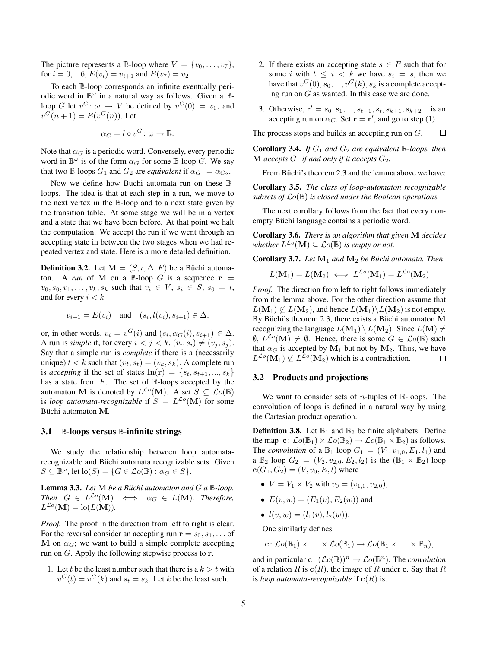The picture represents a B-loop where  $V = \{v_0, \ldots, v_7\},\$ for  $i = 0, ...6$ ,  $E(v_i) = v_{i+1}$  and  $E(v_7) = v_2$ .

To each B-loop corresponds an infinite eventually periodic word in  $\mathbb{B}^{\omega}$  in a natural way as follows. Given a  $\mathbb{B}$ loop G let  $v^G$ :  $\omega \to V$  be defined by  $v^G(0) = v_0$ , and  $v^{G}(n+1) = E(v^{G}(n))$ . Let

$$
\alpha_G = l \circ v^G \colon \omega \to \mathbb{B}.
$$

Note that  $\alpha_G$  is a periodic word. Conversely, every periodic word in  $\mathbb{B}^{\omega}$  is of the form  $\alpha_G$  for some  $\mathbb{B}$ -loop G. We say that two B-loops  $G_1$  and  $G_2$  are *equivalent* if  $\alpha_{G_1} = \alpha_{G_2}$ .

Now we define how Büchi automata run on these  $\mathbb{B}$ loops. The idea is that at each step in a run, we move to the next vertex in the B-loop and to a next state given by the transition table. At some stage we will be in a vertex and a state that we have been before. At that point we halt the computation. We accept the run if we went through an accepting state in between the two stages when we had repeated vertex and state. Here is a more detailed definition.

**Definition 3.2.** Let  $M = (S, \iota, \Delta, F)$  be a Büchi automaton. A *run* of M on a  $\mathbb{B}$ -loop G is a sequence  $\mathbf{r} =$  $v_0, s_0, v_1, \ldots, v_k, s_k$  such that  $v_i \in V$ ,  $s_i \in S$ ,  $s_0 = u$ , and for every  $i < k$ 

$$
v_{i+1} = E(v_i) \quad \text{and} \quad (s_i, l(v_i), s_{i+1}) \in \Delta,
$$

or, in other words,  $v_i = v^G(i)$  and  $(s_i, \alpha_G(i), s_{i+1}) \in \Delta$ . A run is *simple* if, for every  $i < j < k$ ,  $(v_i, s_i) \neq (v_j, s_j)$ . Say that a simple run is *complete* if there is a (necessarily unique)  $t < k$  such that  $(v_t, s_t) = (v_k, s_k)$ . A complete run is *accepting* if the set of states  $In(\mathbf{r}) = \{s_t, s_{t+1}, ..., s_k\}$ has a state from  $F$ . The set of  $\mathbb{B}$ -loops accepted by the automaton M is denoted by  $L^{\mathcal{L}o}(\mathbf{M})$ . A set  $S \subseteq \mathcal{L}o(\mathbb{B})$ is *loop automata-recognizable* if  $S = L^{\mathcal{L}o}(\mathbf{M})$  for some Büchi automaton M.

#### 3.1 B-loops versus B-infinite strings

We study the relationship between loop automatarecognizable and Büchi automata recognizable sets. Given  $S \subseteq \mathbb{B}^{\omega}$ , let  $\text{lo}(S) = \{G \in \mathcal{L}o(\mathbb{B}) : \alpha_G \in S\}.$ 

**Lemma 3.3.** *Let*  $M$  *be a Büchi automaton and*  $G$   $a \mathbb{B}$ *-loop. Then*  $G \in L^{\mathcal{L}o}(\mathbf{M}) \iff \alpha_G \in L(\mathbf{M})$ *. Therefore,*  $L^{\mathcal{L}o}(\mathbf{M}) = \text{lo}(L(\mathbf{M})).$ 

*Proof.* The proof in the direction from left to right is clear. For the reversal consider an accepting run  $\mathbf{r} = s_0, s_1, \dots$  of M on  $\alpha_G$ ; we want to build a simple complete accepting run on G. Apply the following stepwise process to r.

1. Let t be the least number such that there is a  $k > t$  with  $v^G(t) = v^G(k)$  and  $s_t = s_k$ . Let k be the least such.

- 2. If there exists an accepting state  $s \in F$  such that for some i with  $t \leq i \leq k$  we have  $s_i = s$ , then we have that  $v^G(0), s_0, ..., v^G(k), s_k$  is a complete accepting run on G as wanted. In this case we are done.
- 3. Otherwise,  $\mathbf{r}' = s_0, s_1, ..., s_{t-1}, s_t, s_{k+1}, s_{k+2}...$  is an accepting run on  $\alpha_G$ . Set  $\mathbf{r} = \mathbf{r}'$ , and go to step (1).

The process stops and builds an accepting run on G.  $\Box$ 

**Corollary 3.4.** *If*  $G_1$  *and*  $G_2$  *are equivalent*  $\mathbb{B}$ *-loops, then*  $M$  *accepts*  $G_1$  *if and only if it accepts*  $G_2$ *.* 

From Büchi's theorem 2.3 and the lemma above we have:

Corollary 3.5. *The class of loop-automaton recognizable subsets of* Lo(B) *is closed under the Boolean operations.*

The next corollary follows from the fact that every nonempty Büchi language contains a periodic word.

Corollary 3.6. *There is an algorithm that given* M *decides* whether  $L^{\mathcal{L}\phi}(\mathbf{M}) \subseteq \mathcal{L}o(\mathbb{B})$  *is empty or not.* 

Corollary 3.7. Let  $M_1$  and  $M_2$  be Büchi automata. Then

$$
L(\mathbf{M}_1) = L(\mathbf{M}_2) \iff L^{\mathcal{L}o}(\mathbf{M}_1) = L^{\mathcal{L}o}(\mathbf{M}_2)
$$

*Proof.* The direction from left to right follows immediately from the lemma above. For the other direction assume that  $L(\mathbf{M}_1) \nsubseteq L(\mathbf{M}_2)$ , and hence  $L(\mathbf{M}_1) \setminus L(\mathbf{M}_2)$  is not empty. By Büchi's theorem 2.3, there exists a Büchi automaton  $M$ recognizing the language  $L(\mathbf{M}_1) \setminus L(\mathbf{M}_2)$ . Since  $L(\mathbf{M}) \neq$  $\emptyset$ ,  $L^{\mathcal{L}o}(\mathbf{M}) \neq \emptyset$ . Hence, there is some  $G \in \mathcal{L}o(\mathbb{B})$  such that  $\alpha_G$  is accepted by  $M_1$  but not by  $M_2$ . Thus, we have  $L^{\mathcal{L}o}(\mathbf{M}_1) \nsubseteq L^{\mathcal{L}o}(\mathbf{M}_2)$  which is a contradiction.  $\Box$ 

## 3.2 Products and projections

We want to consider sets of *n*-tuples of  $\mathbb{B}$ -loops. The convolution of loops is defined in a natural way by using the Cartesian product operation.

**Definition 3.8.** Let  $\mathbb{B}_1$  and  $\mathbb{B}_2$  be finite alphabets. Define the map  $\mathbf{c}: \mathcal{L}o(\mathbb{B}_1) \times \mathcal{L}o(\mathbb{B}_2) \to \mathcal{L}o(\mathbb{B}_1 \times \mathbb{B}_2)$  as follows. The *convolution* of a  $\mathbb{B}_1$ -loop  $G_1 = (V_1, v_{1,0}, E_1, l_1)$  and a  $\mathbb{B}_2$ -loop  $G_2 = (V_2, v_{2,0}, E_2, l_2)$  is the  $(\mathbb{B}_1 \times \mathbb{B}_2)$ -loop  ${\bf c}(G_1, G_2) = (V, v_0, E, l)$  where

- $V = V_1 \times V_2$  with  $v_0 = (v_{1,0}, v_{2,0}),$
- $E(v, w) = (E_1(v), E_2(w))$  and
- $l(v, w) = (l_1(v), l_2(w)).$

One similarly defines

 $\mathbf{c}: \mathcal{L}o(\mathbb{B}_1) \times \ldots \times \mathcal{L}o(\mathbb{B}_1) \to \mathcal{L}o(\mathbb{B}_1 \times \ldots \times \mathbb{B}_n),$ 

and in particular  $\mathbf{c} : (\mathcal{L}o(\mathbb{B}))^n \to \mathcal{L}o(\mathbb{B}^n)$ . The *convolution* of a relation R is  $c(R)$ , the image of R under c. Say that R is *loop automata-recognizable* if  $\mathbf{c}(R)$  is.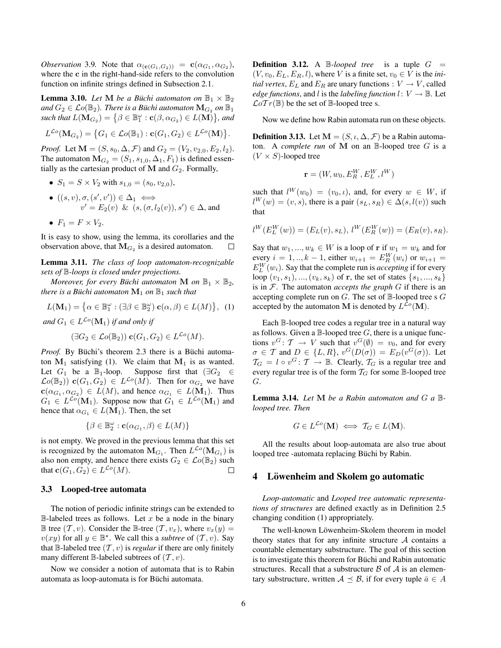*Observation* 3.9. Note that  $\alpha_{(c(G_1, G_2))} = c(\alpha_{G_1}, \alpha_{G_2})$ , where the c in the right-hand-side refers to the convolution function on infinite strings defined in Subsection 2.1.

**Lemma 3.10.** *Let* **M** *be a Büchi automaton on*  $\mathbb{B}_1 \times \mathbb{B}_2$ *and*  $G_2 \in \mathcal{L}o(\mathbb{B}_2)$ *. There is a Büchi automaton*  $\mathbf{M}_{G_2}$  *on*  $\mathbb{B}_1$  $\mathit{such that} \ L(\mathbf M_{G_2}) = \big\{\beta \in \mathbb B_1^\omega : \mathbf c(\beta,\alpha_{G_2}) \in L(\mathbf M) \big\},$  and

$$
L^{\mathcal{L}o}(\mathbf{M}_{G_2}) = \big\{G_1 \in \mathcal{L}o(\mathbb{B}_1) : \mathbf{c}(G_1, G_2) \in L^{\mathcal{L}o}(\mathbf{M})\big\}.
$$

*Proof.* Let  $M = (S, s_0, \Delta, \mathcal{F})$  and  $G_2 = (V_2, v_{2,0}, E_2, l_2)$ . The automaton  $\mathbf{M}_{G_2} = (S_1, s_{1,0}, \Delta_1, F_1)$  is defined essentially as the cartesian product of  $M$  and  $G_2$ . Formally,

- $S_1 = S \times V_2$  with  $s_{1,0} = (s_0, v_{2,0}),$
- $\bullet$   $((s, v), \sigma, (s', v')) \in \Delta_1 \iff$  $v' = E_2(v) \& (s, (\sigma, l_2(v)), s') \in \Delta$ , and

• 
$$
F_1 = F \times V_2
$$
.

It is easy to show, using the lemma, its corollaries and the observation above, that  $M_{G_2}$  is a desired automaton.  $\Box$ 

Lemma 3.11. *The class of loop automaton-recognizable sets of* B*-loops is closed under projections.*

*Moreover, for every Büchi automaton* **M** *on*  $\mathbb{B}_1 \times \mathbb{B}_2$ *, there is a Büchi automaton*  $M_1$  *on*  $\mathbb{B}_1$  *such that* 

$$
L(\mathbf{M}_1) = \left\{ \alpha \in \mathbb{B}_1^{\omega} : (\exists \beta \in \mathbb{B}_2^{\omega}) \mathbf{c}(\alpha, \beta) \in L(M) \right\}, (1)
$$

and  $G_1 \in L^{\mathcal{L}o}(\mathbf{M}_1)$  if and only if

$$
(\exists G_2 \in \mathcal{L}o(\mathbb{B}_2)) \mathbf{c}(G_1, G_2) \in L^{\mathcal{L}o}(M).
$$

*Proof.* By Büchi's theorem 2.3 there is a Büchi automaton  $M_1$  satisfying (1). We claim that  $M_1$  is as wanted. Let  $G_1$  be a  $\mathbb{B}_1$ -loop. Suppose first that  $(\exists G_2 \in$  $\mathcal{L}o(\mathbb{B}_2))$  **c** $(G_1, G_2) \in L^{\mathcal{L}o}(M)$ . Then for  $\alpha_{G_2}$  we have  $c(\alpha_{G_1}, \alpha_{G_2}) \in L(M)$ , and hence  $\alpha_{G_1} \in L(M_1)$ . Thus  $G_1 \in L^{\mathcal{L}o}(\mathbf{M}_1)$ . Suppose now that  $G_1 \in L^{\mathcal{L}o}(\mathbf{M}_1)$  and hence that  $\alpha_{G_1} \in L(\mathbf{M}_1)$ . Then, the set

$$
\{\beta\in\mathbb{B}^\omega_2:\mathbf{c}(\alpha_{G_1},\beta)\in L(M)\}
$$

is not empty. We proved in the previous lemma that this set is recognized by the automaton  $M_{G_1}$ . Then  $L^{\mathcal{L}o}(\mathbf{M}_{G_1})$  is also non empty, and hence there exists  $G_2 \in \mathcal{L}o(\mathbb{B}_2)$  such that  $\mathbf{c}(G_1, G_2) \in L^{\mathcal{L}o}(M)$ .  $\Box$ 

#### 3.3 Looped-tree automata

The notion of periodic infinite strings can be extended to  $\mathbb{B}$ -labeled trees as follows. Let x be a node in the binary B tree  $(T, v)$ . Consider the B-tree  $(T, v_x)$ , where  $v_x(y) =$  $v(xy)$  for all  $y \in \mathbb{B}^*$ . We call this a *subtree* of  $(\mathcal{T}, v)$ . Say that B-labeled tree  $(T, v)$  is *regular* if there are only finitely many different B-labeled subtrees of  $(T, v)$ .

Now we consider a notion of automata that is to Rabin automata as loop-automata is for Büchi automata.

**Definition 3.12.** A B-looped tree is a tuple  $G =$  $(V, v_0, E_L, E_R, l)$ , where V is a finite set,  $v_0 \in V$  is the *initial vertex,*  $E_L$  and  $E_R$  are unary functions :  $V \rightarrow V$ , called *edge functions*, and *l* is the *labeling function*  $l: V \rightarrow \mathbb{B}$ . Let  $\mathcal{L}oTr(\mathbb{B})$  be the set of  $\mathbb{B}$ -looped tree s.

Now we define how Rabin automata run on these objects.

**Definition 3.13.** Let  $M = (S, \iota, \Delta, \mathcal{F})$  be a Rabin automaton. A *complete run* of M on an  $\mathbb{B}$ -looped tree G is a  $(V \times S)$ -looped tree

$$
\mathbf{r} = (W, w_0, E_R^W, E_L^W, l^W)
$$

such that  $l^W(w_0) = (v_0, \iota)$ , and, for every  $w \in W$ , if  $l^W(w) = (v, s)$ , there is a pair  $(s_L, s_R) \in \Delta(s, l(v))$  such that

$$
l^W(E_L^W(w)) = (E_L(v), s_L), l^W(E_R^W(w)) = (E_R(v), s_R).
$$

Say that  $w_1, ..., w_k \in W$  is a loop of r if  $w_1 = w_k$  and for every  $i = 1, ..., k - 1$ , either  $w_{i+1} = E_K^W(w_i)$  or  $w_{i+1} =$  $E_L^W(w_i)$ . Say that the complete run is *accepting* if for every loop  $(v_1, s_1), ..., (v_k, s_k)$  of **r**, the set of states  $\{s_1, ..., s_k\}$ is in F. The automaton *accepts the graph* G if there is an accepting complete run on  $G$ . The set of  $\mathbb B$ -looped tree s  $G$ accepted by the automaton M is denoted by  $L^{\mathcal{L}o}(\mathbf{M})$ .

Each B-looped tree codes a regular tree in a natural way as follows. Given a  $\mathbb{B}$ -looped tree G, there is a unique functions  $v^G \colon \mathcal{T} \to V$  such that  $v^G(\emptyset) = v_0$ , and for every  $\sigma \in \mathcal{T}$  and  $D \in \{L, R\}$ ,  $v^G(D(\sigma)) = E_D(v^G(\sigma))$ . Let  $\mathcal{T}_G = l \circ v^G \colon \mathcal{T} \to \mathbb{B}$ . Clearly,  $\mathcal{T}_G$  is a regular tree and every regular tree is of the form  $T_G$  for some B-looped tree G.

Lemma 3.14. *Let* M *be a Rabin automaton and* G *a* B*looped tree. Then*

$$
G \in L^{\mathcal{L}o}(\mathbf{M}) \iff \mathcal{T}_G \in L(\mathbf{M}).
$$

All the results about loop-automata are also true about looped tree -automata replacing Büchi by Rabin.

## 4 Löwenheim and Skolem go automatic

*Loop-automatic* and *Looped tree automatic representations of structures* are defined exactly as in Definition 2.5 changing condition (1) appropriately.

The well-known Löwenheim-Skolem theorem in model theory states that for any infinite structure  $A$  contains a countable elementary substructure. The goal of this section is to investigate this theorem for Büchi and Rabin automatic structures. Recall that a substructure  $\beta$  of  $\mathcal A$  is an elementary substructure, written  $A \preceq B$ , if for every tuple  $\bar{a} \in A$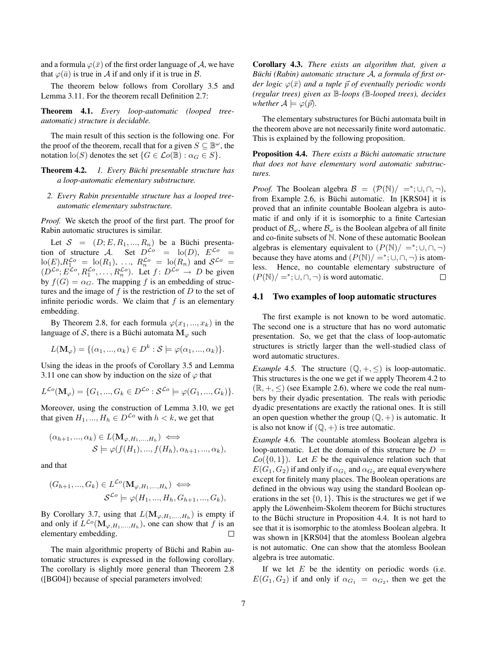and a formula  $\varphi(\bar{x})$  of the first order language of A, we have that  $\varphi(\bar{a})$  is true in A if and only if it is true in B.

The theorem below follows from Corollary 3.5 and Lemma 3.11. For the theorem recall Definition 2.7:

Theorem 4.1. *Every loop-automatic (looped treeautomatic) structure is decidable.*

The main result of this section is the following one. For the proof of the theorem, recall that for a given  $S \subseteq \mathbb{B}^{\omega}$ , the notation  $\text{lo}(S)$  denotes the set  $\{G \in \mathcal{L}o(\mathbb{B}) : \alpha_G \in S\}.$ 

Theorem 4.2. *1. Every Büchi presentable structure has a loop-automatic elementary substructure.*

*2. Every Rabin presentable structure has a looped treeautomatic elementary substructure.*

*Proof.* We sketch the proof of the first part. The proof for Rabin automatic structures is similar.

Let  $S = (D; E, R_1, ..., R_n)$  be a Büchi presentation of structure A. Set  $D^{\mathcal{L}o} = \text{lo}(D)$ ,  $E^{\mathcal{L}o} =$  $\ln(E)$ ,  $R_1^{\mathcal{L}o} = \ln(R_1)$ , ...,  $R_n^{\mathcal{L}o} = \ln(R_n)$  and  $\mathcal{S}^{\mathcal{L}o} =$  $(D^{\mathcal{L}o}; E^{\mathcal{L}o}, R_1^{\mathcal{L}o}, \dots, R_n^{\mathcal{L}o})$ . Let  $f: D^{\mathcal{L}o} \to D$  be given by  $f(G) = \alpha_G$ . The mapping f is an embedding of structures and the image of  $f$  is the restriction of  $D$  to the set of infinite periodic words. We claim that  $f$  is an elementary embedding.

By Theorem 2.8, for each formula  $\varphi(x_1, ..., x_k)$  in the language of S, there is a Büchi automata  $\mathbf{M}_{\varphi}$  such

$$
L(\mathbf{M}_{\varphi}) = \{(\alpha_1, ..., \alpha_k) \in D^k : \mathcal{S} \models \varphi(\alpha_1, ..., \alpha_k)\}.
$$

Using the ideas in the proofs of Corollary 3.5 and Lemma 3.11 one can show by induction on the size of  $\varphi$  that

$$
L^{\mathcal{L}o}(\mathbf{M}_{\varphi}) = \{G_1, ..., G_k \in D^{\mathcal{L}o} : \mathcal{S}^{\mathcal{L}o} \models \varphi(G_1, ..., G_k)\}.
$$

Moreover, using the construction of Lemma 3.10, we get that given  $H_1, ..., H_h \in D^{\mathcal{L}o}$  with  $h < k$ , we get that

$$
(\alpha_{h+1}, ..., \alpha_k) \in L(\mathbf{M}_{\varphi, H_1, ..., H_h}) \iff \mathcal{S} \models \varphi(f(H_1), ..., f(H_h), \alpha_{h+1}, ..., \alpha_k),
$$

and that

$$
(G_{h+1},...,G_k) \in L^{\mathcal{L}\circ}(\mathbf{M}_{\varphi,H_1,...,H_h}) \iff
$$
  

$$
\mathcal{S}^{\mathcal{L}\circ} \models \varphi(H_1,...,H_h, G_{h+1},...,G_k),
$$

By Corollary 3.7, using that  $L(\mathbf{M}_{\varphi,H_1,...,H_h})$  is empty if and only if  $L^{\mathcal{L}o}(\mathbf{M}_{\varphi,H_1,\ldots,H_h})$ , one can show that f is an elementary embedding.  $\Box$ 

The main algorithmic property of Büchi and Rabin automatic structures is expressed in the following corollary. The corollary is slightly more general than Theorem 2.8 ([BG04]) because of special parameters involved:

Corollary 4.3. *There exists an algorithm that, given a* Büchi (Rabin) automatic structure A, a formula of first or*der logic*  $\varphi(\bar{x})$  *and a tuple*  $\vec{p}$  *of eventually periodic words (regular trees) given as* B*-loops (*B*-looped trees), decides whether*  $A \models \varphi(\vec{p})$ *.* 

The elementary substructures for Büchi automata built in the theorem above are not necessarily finite word automatic. This is explained by the following proposition.

**Proposition 4.4.** *There exists a Büchi automatic structure that does not have elementary word automatic substructures.*

*Proof.* The Boolean algebra  $\mathcal{B} = (\mathcal{P}(\mathbb{N})/ =^*; \cup, \cap, \neg)$ , from Example 2.6, is Büchi automatic. In [KRS04] it is proved that an infinite countable Boolean algebra is automatic if and only if it is isomorphic to a finite Cartesian product of  $\mathcal{B}_{\omega}$ , where  $\mathcal{B}_{\omega}$  is the Boolean algebra of all finite and co-finite subsets of N. None of these automatic Boolean algebras is elementary equivalent to  $(P(N)/ =^*; \cup, \cap, \neg)$ because they have atoms and  $(P(N)/ = \div; \cup, \cap, \neg)$  is atomless. Hence, no countable elementary substructure of  $(P(N)/ =^*; \cup, \cap, \neg)$  is word automatic.  $\Box$ 

#### 4.1 Two examples of loop automatic structures

The first example is not known to be word automatic. The second one is a structure that has no word automatic presentation. So, we get that the class of loop-automatic structures is strictly larger than the well-studied class of word automatic structures.

*Example* 4.5. The structure  $(\mathbb{Q}, +, \leq)$  is loop-automatic. This structures is the one we get if we apply Theorem 4.2 to  $(\mathbb{R}, +, \le)$  (see Example 2.6), where we code the real numbers by their dyadic presentation. The reals with periodic dyadic presentations are exactly the rational ones. It is still an open question whether the group  $(\mathbb{Q}, +)$  is automatic. It is also not know if  $(\mathbb{Q}, +)$  is tree automatic.

*Example* 4.6*.* The countable atomless Boolean algebra is loop-automatic. Let the domain of this structure be  $D =$  $\mathcal{L}o({0,1})$ . Let E be the equivalence relation such that  $E(G_1, G_2)$  if and only if  $\alpha_{G_1}$  and  $\alpha_{G_2}$  are equal everywhere except for finitely many places. The Boolean operations are defined in the obvious way using the standard Boolean operations in the set  $\{0, 1\}$ . This is the structures we get if we apply the Löwenheim-Skolem theorem for Büchi structures to the Büchi structure in Proposition 4.4. It is not hard to see that it is isomorphic to the atomless Boolean algebra. It was shown in [KRS04] that the atomless Boolean algebra is not automatic. One can show that the atomless Boolean algebra is tree automatic.

If we let  $E$  be the identity on periodic words (i.e.  $E(G_1, G_2)$  if and only if  $\alpha_{G_1} = \alpha_{G_2}$ , then we get the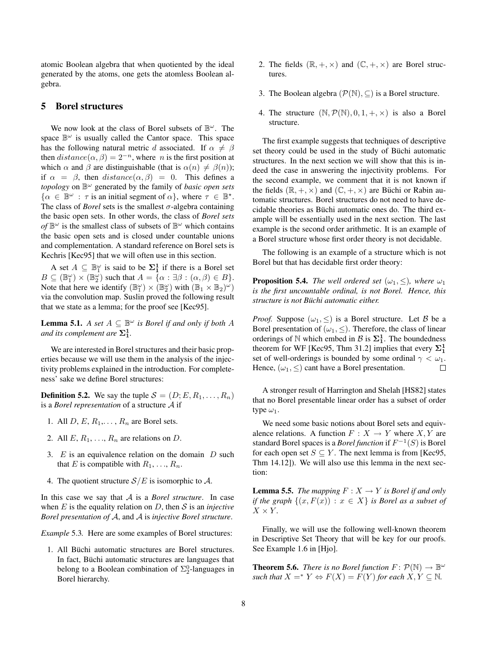atomic Boolean algebra that when quotiented by the ideal generated by the atoms, one gets the atomless Boolean algebra.

## 5 Borel structures

We now look at the class of Borel subsets of  $\mathbb{B}^{\omega}$ . The space  $\mathbb{B}^{\omega}$  is usually called the Cantor space. This space has the following natural metric d associated. If  $\alpha \neq \beta$ then  $distance(\alpha, \beta) = 2^{-n}$ , where *n* is the first position at which  $\alpha$  and  $\beta$  are distinguishable (that is  $\alpha(n) \neq \beta(n)$ ); if  $\alpha = \beta$ , then  $distance(\alpha, \beta) = 0$ . This defines a *topology* on B <sup>ω</sup> generated by the family of *basic open sets*  $\{\alpha \in \mathbb{B}^{\omega} : \tau \text{ is an initial segment of } \alpha\}, \text{ where } \tau \in \mathbb{B}^{\star}.$ The class of *Borel* sets is the smallest  $\sigma$ -algebra containing the basic open sets. In other words, the class of *Borel sets* of  $\mathbb{B}^{\omega}$  is the smallest class of subsets of  $\mathbb{B}^{\omega}$  which contains the basic open sets and is closed under countable unions and complementation. A standard reference on Borel sets is Kechris [Kec95] that we will often use in this section.

A set  $A \subseteq \mathbb{B}_1^{\omega}$  is said to be  $\Sigma_1^1$  if there is a Borel set  $B \subseteq (\mathbb{B}_1^{\omega}) \times (\mathbb{B}_2^{\omega})$  such that  $A = \{ \alpha : \exists \beta : (\alpha, \beta) \in B \}.$ Note that here we identify  $(\mathbb{B}_{1}^{\omega}) \times (\mathbb{B}_{2}^{\omega})$  with  $(\mathbb{B}_{1} \times \mathbb{B}_{2})^{\omega}$ ) via the convolution map. Suslin proved the following result that we state as a lemma; for the proof see [Kec95].

**Lemma 5.1.** *A set*  $A \subseteq \mathbb{B}^{\omega}$  *is Borel if and only if both*  $A$ and its complement are  $\Sigma^1_1$ .

We are interested in Borel structures and their basic properties because we will use them in the analysis of the injectivity problems explained in the introduction. For completeness' sake we define Borel structures:

**Definition 5.2.** We say the tuple  $S = (D; E, R_1, \dots, R_n)$ is a *Borel representation* of a structure A if

- 1. All  $D, E, R_1, \ldots, R_n$  are Borel sets.
- 2. All  $E, R_1, \ldots, R_n$  are relations on D.
- 3.  $E$  is an equivalence relation on the domain  $D$  such that E is compatible with  $R_1, \ldots, R_n$ .
- 4. The quotient structure  $S/E$  is isomorphic to A.

In this case we say that A is a *Borel structure*. In case when  $E$  is the equality relation on  $D$ , then  $S$  is an *injective Borel presentation of* A, and A is *injective Borel structure*.

*Example* 5.3*.* Here are some examples of Borel structures:

1. All Büchi automatic structures are Borel structures. In fact, Büchi automatic structures are languages that belong to a Boolean combination of  $\Sigma^0_2$ -languages in Borel hierarchy.

- 2. The fields  $(\mathbb{R}, +, \times)$  and  $(\mathbb{C}, +, \times)$  are Borel structures.
- 3. The Boolean algebra  $(\mathcal{P}(\mathbb{N}), \subseteq)$  is a Borel structure.
- 4. The structure  $(N, \mathcal{P}(N), 0, 1, +, \times)$  is also a Borel structure.

The first example suggests that techniques of descriptive set theory could be used in the study of Büchi automatic structures. In the next section we will show that this is indeed the case in answering the injectivity problems. For the second example, we comment that it is not known if the fields  $(\mathbb{R}, +, \times)$  and  $(\mathbb{C}, +, \times)$  are Büchi or Rabin automatic structures. Borel structures do not need to have decidable theories as Büchi automatic ones do. The third example will be essentially used in the next section. The last example is the second order arithmetic. It is an example of a Borel structure whose first order theory is not decidable.

The following is an example of a structure which is not Borel but that has decidable first order theory:

**Proposition 5.4.** *The well ordered set* ( $\omega_1$ ,  $\leq$ )*, where*  $\omega_1$ *is the first uncountable ordinal, is not Borel. Hence, this structure is not Buchi automatic either. ¨*

*Proof.* Suppose  $(\omega_1, \leq)$  is a Borel structure. Let B be a Borel presentation of  $(\omega_1, \le)$ . Therefore, the class of linear orderings of  $\mathbb N$  which embed in  $\mathcal B$  is  $\Sigma_1^1$ . The boundedness theorem for WF [Kec95, Thm 31.2] implies that every  $\Sigma_1^1$ set of well-orderings is bounded by some ordinal  $\gamma < \omega_1$ . Hence,  $(\omega_1, \leq)$  cant have a Borel presentation.  $\Box$ 

A stronger result of Harrington and Shelah [HS82] states that no Borel presentable linear order has a subset of order type  $\omega_1$ .

We need some basic notions about Borel sets and equivalence relations. A function  $F : X \to Y$  where  $X, Y$  are standard Borel spaces is a *Borel function* if  $F^{-1}(S)$  is Borel for each open set  $S \subseteq Y$ . The next lemma is from [Kec95, Thm 14.12]). We will also use this lemma in the next section:

**Lemma 5.5.** *The mapping*  $F : X \rightarrow Y$  *is Borel if and only if the graph*  $\{(x, F(x)) : x \in X\}$  *is Borel as a subset of*  $X \times Y$ .

Finally, we will use the following well-known theorem in Descriptive Set Theory that will be key for our proofs. See Example 1.6 in [Hjo].

**Theorem 5.6.** *There is no Borel function*  $F: \mathcal{P}(\mathbb{N}) \to \mathbb{B}^{\omega}$ *such that*  $X =^* Y \Leftrightarrow F(X) = F(Y)$  *for each*  $X, Y \subseteq \mathbb{N}$ *.*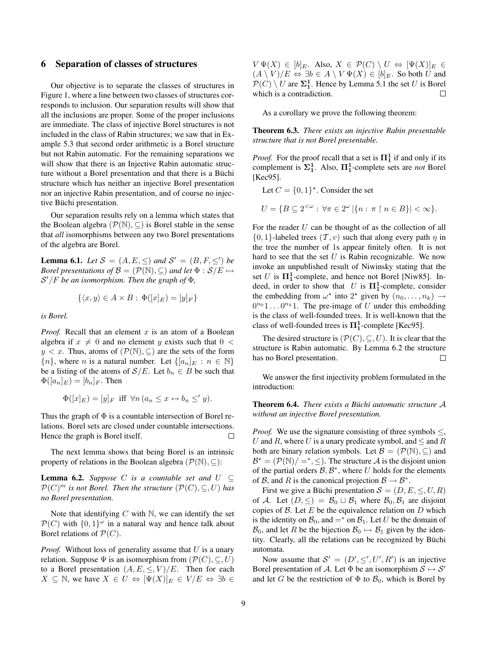## 6 Separation of classes of structures

Our objective is to separate the classes of structures in Figure 1, where a line between two classes of structures corresponds to inclusion. Our separation results will show that all the inclusions are proper. Some of the proper inclusions are immediate. The class of injective Borel structures is not included in the class of Rabin structures; we saw that in Example 5.3 that second order arithmetic is a Borel structure but not Rabin automatic. For the remaining separations we will show that there is an Injective Rabin automatic structure without a Borel presentation and that there is a Büchi structure which has neither an injective Borel presentation nor an injective Rabin presentation, and of course no injective Büchi presentation.

Our separation results rely on a lemma which states that the Boolean algebra  $(\mathcal{P}(\mathbb{N}), \subseteq)$  is Borel stable in the sense that *all* isomorphisms between any two Borel presentations of the algebra are Borel.

**Lemma 6.1.** *Let*  $S = (A, E, \leq)$  *and*  $S' = (B, F, \leq')$  *be Borel presentations of*  $\mathcal{B} = (\mathcal{P}(\mathbb{N}), \subseteq)$  *and let*  $\Phi : \mathcal{S}/E \mapsto$ S <sup>0</sup>/F *be an isomorphism. Then the graph of* Φ*,*

$$
\{\langle x,y\rangle \in A \times B : \Phi([x]_E) = [y]_F\}
$$

*is Borel.*

*Proof.* Recall that an element  $x$  is an atom of a Boolean algebra if  $x \neq 0$  and no element y exists such that  $0 <$  $y < x$ . Thus, atoms of  $(\mathcal{P}(\mathbb{N}), \subseteq)$  are the sets of the form  $\{n\}$ , where n is a natural number. Let  $\{[a_n]_E : n \in \mathbb{N}\}\$ be a listing of the atoms of  $S/E$ . Let  $b_n \in B$  be such that  $\Phi([a_n]_E) = [b_n]_F$ . Then

$$
\Phi([x]_E) = [y]_F \text{ iff } \forall n \ (a_n \leq x \leftrightarrow b_n \leq' y).
$$

Thus the graph of  $\Phi$  is a countable intersection of Borel relations. Borel sets are closed under countable intersections. Hence the graph is Borel itself.  $\Box$ 

The next lemma shows that being Borel is an intrinsic property of relations in the Boolean algebra  $(\mathcal{P}(\mathbb{N}), \subseteq)$ :

**Lemma 6.2.** *Suppose* C *is a countable set and*  $U \subseteq$  $\mathcal{P}(C)^m$  *is not Borel. Then the structure*  $(\mathcal{P}(C), \subseteq, U)$  *has no Borel presentation.*

Note that identifying  $C$  with  $\mathbb N$ , we can identify the set  $\mathcal{P}(C)$  with  $\{0,1\}^\omega$  in a natural way and hence talk about Borel relations of  $\mathcal{P}(C)$ .

*Proof.* Without loss of generality assume that  $U$  is a unary relation. Suppose  $\Psi$  is an isomorphism from  $(\mathcal{P}(C), \subseteq, U)$ to a Borel presentation  $(A, E, \leq, V)/E$ . Then for each  $X \subseteq \mathbb{N}$ , we have  $X \in U \Leftrightarrow [\Psi(X)]_E \in V/E \Leftrightarrow \exists b \in$ 

 $V \Psi(X) \in [b]_E$ . Also,  $X \in \mathcal{P}(C) \setminus U \Leftrightarrow [\Psi(X)]_E \in$  $(A \setminus V)/E \Leftrightarrow \exists b \in A \setminus V \Psi(X) \in [b]_E$ . So both U and  $\mathcal{P}(C) \setminus U$  are  $\Sigma_1^1$ . Hence by Lemma 5.1 the set U is Borel which is a contradiction.  $\Box$ 

As a corollary we prove the following theorem:

Theorem 6.3. *There exists an injective Rabin presentable structure that is not Borel presentable.*

*Proof.* For the proof recall that a set is  $\Pi_1^1$  if and only if its complement is  $\Sigma_1^1$ . Also,  $\Pi_1^1$ -complete sets are *not* Borel [Kec95].

Let  $C = \{0, 1\}^*$ . Consider the set

$$
U = \{ B \subseteq 2^{<\omega} : \forall \pi \in 2^{\omega} \, | \{ n : \pi \upharpoonright n \in B \} | < \infty \}.
$$

For the reader  $U$  can be thought of as the collection of all  $\{0, 1\}$ -labeled trees  $(\mathcal{T}, v)$  such that along every path  $\eta$  in the tree the number of 1s appear finitely often. It is not hard to see that the set  $U$  is Rabin recognizable. We now invoke an unpublished result of Niwinsky stating that the set U is  $\Pi_1^1$ -complete, and hence not Borel [Niw85]. Indeed, in order to show that U is  $\Pi_1^1$ -complete, consider the embedding from  $\omega^*$  into  $2^*$  given by  $(n_0, \ldots, n_k) \rightarrow$  $0^{n_0}1 \dots 0^{n_k}1$ . The pre-image of U under this embedding is the class of well-founded trees. It is well-known that the class of well-founded trees is  $\Pi_1^1$ -complete [Kec95].

The desired structure is  $(\mathcal{P}(C), \subseteq, U)$ . It is clear that the structure is Rabin automatic. By Lemma 6.2 the structure has no Borel presentation. П

We answer the first injectivity problem formulated in the introduction:

**Theorem 6.4.** *There exists a Büchi automatic structure* A *without an injective Borel presentation.*

*Proof.* We use the signature consisting of three symbols  $\leq$ , U and R, where U is a unary predicate symbol, and  $\leq$  and R both are binary relation symbols. Let  $\mathcal{B} = (\mathcal{P}(\mathbb{N}), \subseteq)$  and  $\mathcal{B}^* = (\mathcal{P}(\mathbb{N})/ =^*, \leq)$ . The structure A is the disjoint union of the partial orders  $\mathcal{B}, \mathcal{B}^*$ , where U holds for the elements of B, and R is the canonical projection  $B \to B^*$ .

First we give a Büchi presentation  $S = (D, E, \leq, U, R)$ of A. Let  $(D, \leq) = \mathcal{B}_0 \sqcup \mathcal{B}_1$  where  $\mathcal{B}_0, \mathcal{B}_1$  are disjoint copies of  $\beta$ . Let  $E$  be the equivalence relation on  $D$  which is the identity on  $\mathcal{B}_0$ , and  $=$ <sup>\*</sup> on  $\mathcal{B}_1$ . Let U be the domain of  $\mathcal{B}_0$ , and let R be the bijection  $\mathcal{B}_0 \mapsto \mathcal{B}_1$  given by the identity. Clearly, all the relations can be recognized by Büchi automata.

Now assume that  $S' = (D', \leq', U', R')$  is an injective Borel presentation of A. Let  $\Phi$  be an isomorphism  $S \mapsto S'$ and let G be the restriction of  $\Phi$  to  $\mathcal{B}_0$ , which is Borel by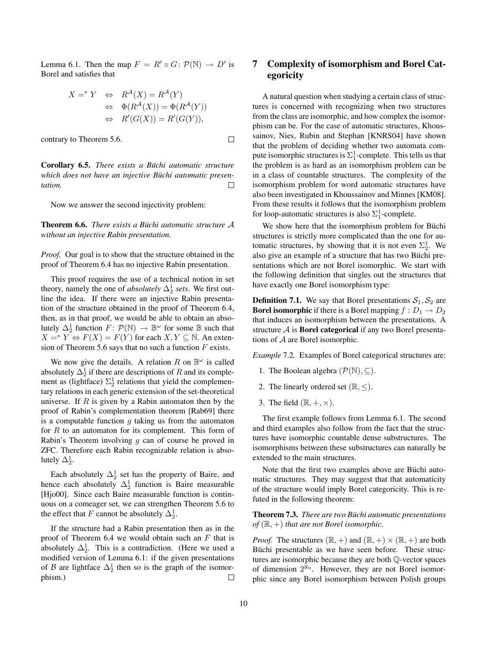Lemma 6.1. Then the map  $F = R' \circ G \colon \mathcal{P}(\mathbb{N}) \to D'$  is Borel and satisfies that

$$
X =^* Y \Leftrightarrow R^{\mathcal{A}}(X) = R^{\mathcal{A}}(Y)
$$
  
\n
$$
\Leftrightarrow \Phi(R^{\mathcal{A}}(X)) = \Phi(R^{\mathcal{A}}(Y))
$$
  
\n
$$
\Leftrightarrow R'(G(X)) = R'(G(Y)),
$$

 $\Box$ 

contrary to Theorem 5.6.

Corollary 6.5. *There exists a Büchi automatic structure which does not have an injective Buchi automatic presen- ¨ tation.*  $\Box$ 

Now we answer the second injectivity problem:

**Theorem 6.6.** *There exists a Büchi automatic structure* A *without an injective Rabin presentation.*

*Proof.* Our goal is to show that the structure obtained in the proof of Theorem 6.4 has no injective Rabin presentation.

This proof requires the use of a technical notion in set theory, namely the one of *absolutely*  $\Delta_2^1$  *sets*. We first outline the idea. If there were an injective Rabin presentation of the structure obtained in the proof of Theorem 6.4, then, as in that proof, we would be able to obtain an absolutely  $\Delta_2^1$  function  $F: \mathcal{P}(\mathbb{N}) \to \mathbb{B}^{\omega}$  for some  $\mathbb B$  such that  $X =^* Y \Leftrightarrow F(X) = F(Y)$  for each  $X, Y \subseteq \mathbb{N}$ . An extension of Theorem 5.6 says that no such a function  $F$  exists.

We now give the details. A relation R on  $\mathbb{B}^{\omega}$  is called absolutely  $\Delta_2^1$  if there are descriptions of R and its complement as (lightface)  $\Sigma_2^1$  relations that yield the complementary relations in each generic extension of the set-theoretical universe. If  $R$  is given by a Rabin automaton then by the proof of Rabin's complementation theorem [Rab69] there is a computable function  $q$  taking us from the automaton for  $R$  to an automaton for its complement. This form of Rabin's Theorem involving  $q$  can of course be proved in ZFC. Therefore each Rabin recognizable relation is absolutely  $\Delta_2^1$ .

Each absolutely  $\Delta_2^1$  set has the property of Baire, and hence each absolutely  $\Delta_2^1$  function is Baire measurable [Hjo00]. Since each Baire measurable function is continuous on a comeager set, we can strengthen Theorem 5.6 to the effect that F cannot be absolutely  $\Delta_2^1$ .

If the structure had a Rabin presentation then as in the proof of Theorem 6.4 we would obtain such an  $F$  that is absolutely  $\Delta_2^1$ . This is a contradiction. (Here we used a modified version of Lemma 6.1: if the given presentations of B are lightface  $\Delta_2^1$  then so is the graph of the isomorphism.) □

# 7 Complexity of isomorphism and Borel Categoricity

A natural question when studying a certain class of structures is concerned with recognizing when two structures from the class are isomorphic, and how complex the isomorphism can be. For the case of automatic structures, Khoussainov, Nies, Rubin and Stephan [KNRS04] have shown that the problem of deciding whether two automata compute isomorphic structures is  $\Sigma^1_1$ -complete. This tells us that the problem is as hard as an isomorphism problem can be in a class of countable structures. The complexity of the isomorphism problem for word automatic structures have also been investigated in Khoussainov and Minnes [KM08]. From these results it follows that the isomorphism problem for loop-automatic structures is also  $\Sigma_1^1$ -complete.

We show here that the isomorphism problem for Büchi structures is strictly more complicated than the one for automatic structures, by showing that it is not even  $\Sigma_2^1$ . We also give an example of a structure that has two Büchi presentations which are not Borel isomorphic. We start with the following definition that singles out the structures that have exactly one Borel isomorphism type:

**Definition 7.1.** We say that Borel presentations  $S_1$ ,  $S_2$  are **Borel isomorphic** if there is a Borel mapping  $f : D_1 \to D_2$ that induces an isomorphism between the presentations. A structure  $A$  is **Borel categorical** if any two Borel presentations of  $A$  are Borel isomorphic.

*Example* 7.2*.* Examples of Borel categorical structures are:

- 1. The Boolean algebra  $(\mathcal{P}(\mathbb{N}), \subseteq)$ .
- 2. The linearly ordered set  $(\mathbb{R}, \leq)$ .
- 3. The field  $(\mathbb{R}, +, \times)$ .

The first example follows from Lemma 6.1. The second and third examples also follow from the fact that the structures have isomorphic countable dense substructures. The isomorphisms between these substructures can naturally be extended to the main structures.

Note that the first two examples above are Büchi automatic structures. They may suggest that that automaticity of the structure would imply Borel categoricity. This is refuted in the following theorem:

Theorem 7.3. *There are two Buchi automatic presentations ¨*  $of$  ( $\mathbb{R}, +$ ) *that are not Borel isomorphic.* 

*Proof.* The structures  $(\mathbb{R}, +)$  and  $(\mathbb{R}, +) \times (\mathbb{R}, +)$  are both Büchi presentable as we have seen before. These structures are isomorphic because they are both Q-vector spaces of dimension  $2^{\aleph_0}$ . However, they are not Borel isomorphic since any Borel isomorphism between Polish groups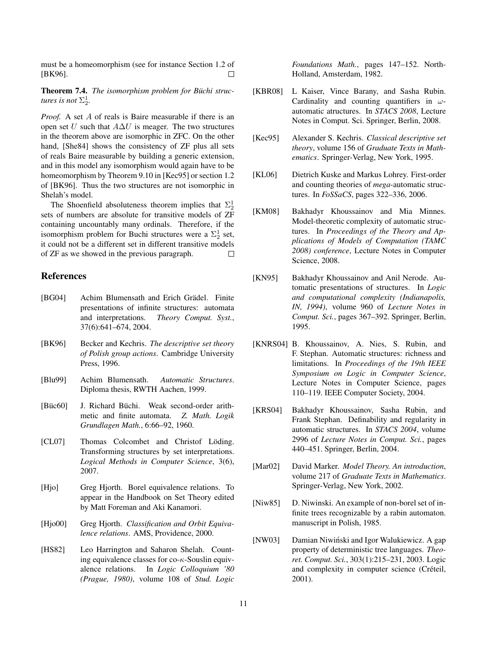must be a homeomorphism (see for instance Section 1.2 of [BK96].  $\Box$ 

Theorem 7.4. *The isomorphism problem for Buchi struc- ¨ tures is not*  $\Sigma_2^1$ .

*Proof.* A set A of reals is Baire measurable if there is an open set U such that  $A\Delta U$  is meager. The two structures in the theorem above are isomorphic in ZFC. On the other hand, [She84] shows the consistency of ZF plus all sets of reals Baire measurable by building a generic extension, and in this model any isomorphism would again have to be homeomorphism by Theorem 9.10 in [Kec95] or section 1.2 of [BK96]. Thus the two structures are not isomorphic in Shelah's model.

The Shoenfield absoluteness theorem implies that  $\Sigma_2^1$ sets of numbers are absolute for transitive models of ZF containing uncountably many ordinals. Therefore, if the isomorphism problem for Buchi structures were a  $\Sigma^1_2$  set, it could not be a different set in different transitive models of ZF as we showed in the previous paragraph.  $\Box$ 

# **References**

- [BG04] Achim Blumensath and Erich Grädel. Finite presentations of infinite structures: automata and interpretations. *Theory Comput. Syst.*, 37(6):641–674, 2004.
- [BK96] Becker and Kechris. *The descriptive set theory of Polish group actions*. Cambridge University Press, 1996.
- [Blu99] Achim Blumensath. *Automatic Structures*. Diploma thesis, RWTH Aachen, 1999.
- [Büc60] J. Richard Büchi. Weak second-order arithmetic and finite automata. *Z. Math. Logik Grundlagen Math.*, 6:66–92, 1960.
- [CL07] Thomas Colcombet and Christof Löding. Transforming structures by set interpretations. *Logical Methods in Computer Science*, 3(6), 2007.
- [Hjo] Greg Hjorth. Borel equivalence relations. To appear in the Handbook on Set Theory edited by Matt Foreman and Aki Kanamori.
- [Hjo00] Greg Hjorth. *Classification and Orbit Equivalence relations*. AMS, Providence, 2000.
- [HS82] Leo Harrington and Saharon Shelah. Counting equivalence classes for  $\cos \kappa$ -Souslin equivalence relations. In *Logic Colloquium '80 (Prague, 1980)*, volume 108 of *Stud. Logic*

*Foundations Math.*, pages 147–152. North-Holland, Amsterdam, 1982.

- [KBR08] L Kaiser, Vince Barany, and Sasha Rubin. Cardinality and counting quantifiers in  $\omega$ automatic atructures. In *STACS 2008*, Lecture Notes in Comput. Sci. Springer, Berlin, 2008.
- [Kec95] Alexander S. Kechris. *Classical descriptive set theory*, volume 156 of *Graduate Texts in Mathematics*. Springer-Verlag, New York, 1995.
- [KL06] Dietrich Kuske and Markus Lohrey. First-order and counting theories of *mega*-automatic structures. In *FoSSaCS*, pages 322–336, 2006.
- [KM08] Bakhadyr Khoussainov and Mia Minnes. Model-theoretic complexity of automatic structures. In *Proceedings of the Theory and Applications of Models of Computation (TAMC 2008) conference*, Lecture Notes in Computer Science, 2008.
- [KN95] Bakhadyr Khoussainov and Anil Nerode. Automatic presentations of structures. In *Logic and computational complexity (Indianapolis, IN, 1994)*, volume 960 of *Lecture Notes in Comput. Sci.*, pages 367–392. Springer, Berlin, 1995.
- [KNRS04] B. Khoussainov, A. Nies, S. Rubin, and F. Stephan. Automatic structures: richness and limitations. In *Proceedings of the 19th IEEE Symposium on Logic in Computer Science*, Lecture Notes in Computer Science, pages 110–119. IEEE Computer Society, 2004.
- [KRS04] Bakhadyr Khoussainov, Sasha Rubin, and Frank Stephan. Definability and regularity in automatic structures. In *STACS 2004*, volume 2996 of *Lecture Notes in Comput. Sci.*, pages 440–451. Springer, Berlin, 2004.
- [Mar02] David Marker. *Model Theory. An introduction*, volume 217 of *Graduate Texts in Mathematics*. Springer-Verlag, New York, 2002.
- [Niw85] D. Niwinski. An example of non-borel set of infinite trees recognizable by a rabin automaton. manuscript in Polish, 1985.
- [NW03] Damian Niwiński and Igor Walukiewicz. A gap property of deterministic tree languages. *Theoret. Comput. Sci.*, 303(1):215–231, 2003. Logic and complexity in computer science (Créteil, 2001).